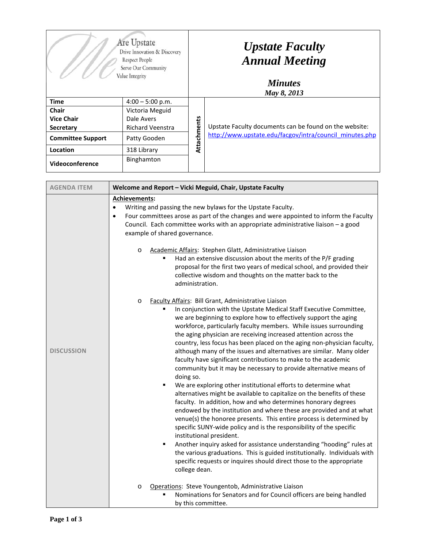| Are Upstate<br>Drive Innovation & Discovery<br>Respect People<br>Serve Our Community<br>Value Integrity |                         | <b>Upstate Faculty</b><br><b>Annual Meeting</b><br><b>Minutes</b><br>May 8, 2013 |                                                         |
|---------------------------------------------------------------------------------------------------------|-------------------------|----------------------------------------------------------------------------------|---------------------------------------------------------|
| <b>Time</b>                                                                                             | $4:00 - 5:00$ p.m.      | Attachments                                                                      |                                                         |
| Chair                                                                                                   | Victoria Meguid         |                                                                                  |                                                         |
| <b>Vice Chair</b>                                                                                       | Dale Avers              |                                                                                  |                                                         |
| <b>Secretary</b>                                                                                        | <b>Richard Veenstra</b> |                                                                                  | Upstate Faculty documents can be found on the website:  |
| <b>Committee Support</b>                                                                                | Patty Gooden            |                                                                                  | http://www.upstate.edu/facgov/intra/council_minutes.php |
| Location                                                                                                | 318 Library             |                                                                                  |                                                         |
| Videoconference                                                                                         | Binghamton              |                                                                                  |                                                         |

| <b>AGENDA ITEM</b> | Welcome and Report - Vicki Meguid, Chair, Upstate Faculty                                                                                                                                                                                                                                                                                                                                                                                                                                                                                                                                                                                                                                                                                                                                                                                                                                                                                                                                                                                                                                                                                                                                                                                                                                                                                                                                  |  |  |
|--------------------|--------------------------------------------------------------------------------------------------------------------------------------------------------------------------------------------------------------------------------------------------------------------------------------------------------------------------------------------------------------------------------------------------------------------------------------------------------------------------------------------------------------------------------------------------------------------------------------------------------------------------------------------------------------------------------------------------------------------------------------------------------------------------------------------------------------------------------------------------------------------------------------------------------------------------------------------------------------------------------------------------------------------------------------------------------------------------------------------------------------------------------------------------------------------------------------------------------------------------------------------------------------------------------------------------------------------------------------------------------------------------------------------|--|--|
|                    | Achievements:<br>Writing and passing the new bylaws for the Upstate Faculty.<br>$\bullet$<br>Four committees arose as part of the changes and were appointed to inform the Faculty<br>$\bullet$<br>Council. Each committee works with an appropriate administrative liaison - a good<br>example of shared governance.                                                                                                                                                                                                                                                                                                                                                                                                                                                                                                                                                                                                                                                                                                                                                                                                                                                                                                                                                                                                                                                                      |  |  |
|                    | Academic Affairs: Stephen Glatt, Administrative Liaison<br>$\circ$<br>Had an extensive discussion about the merits of the P/F grading<br>proposal for the first two years of medical school, and provided their<br>collective wisdom and thoughts on the matter back to the<br>administration.                                                                                                                                                                                                                                                                                                                                                                                                                                                                                                                                                                                                                                                                                                                                                                                                                                                                                                                                                                                                                                                                                             |  |  |
| <b>DISCUSSION</b>  | Faculty Affairs: Bill Grant, Administrative Liaison<br>$\circ$<br>In conjunction with the Upstate Medical Staff Executive Committee,<br>we are beginning to explore how to effectively support the aging<br>workforce, particularly faculty members. While issues surrounding<br>the aging physician are receiving increased attention across the<br>country, less focus has been placed on the aging non-physician faculty,<br>although many of the issues and alternatives are similar. Many older<br>faculty have significant contributions to make to the academic<br>community but it may be necessary to provide alternative means of<br>doing so.<br>We are exploring other institutional efforts to determine what<br>٠<br>alternatives might be available to capitalize on the benefits of these<br>faculty. In addition, how and who determines honorary degrees<br>endowed by the institution and where these are provided and at what<br>venue(s) the honoree presents. This entire process is determined by<br>specific SUNY-wide policy and is the responsibility of the specific<br>institutional president.<br>Another inquiry asked for assistance understanding "hooding" rules at<br>٠<br>the various graduations. This is guided institutionally. Individuals with<br>specific requests or inquires should direct those to the appropriate<br>college dean.<br>$\circ$ |  |  |
|                    | Operations: Steve Youngentob, Administrative Liaison<br>Nominations for Senators and for Council officers are being handled<br>by this committee.                                                                                                                                                                                                                                                                                                                                                                                                                                                                                                                                                                                                                                                                                                                                                                                                                                                                                                                                                                                                                                                                                                                                                                                                                                          |  |  |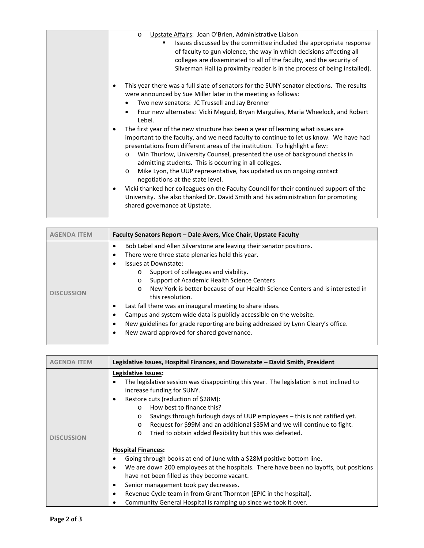| Upstate Affairs: Joan O'Brien, Administrative Liaison<br>$\circ$<br>Issues discussed by the committee included the appropriate response<br>of faculty to gun violence, the way in which decisions affecting all<br>colleges are disseminated to all of the faculty, and the security of                                                                                                                                                                                                                                                                                                                                                                                                                                                                    |
|------------------------------------------------------------------------------------------------------------------------------------------------------------------------------------------------------------------------------------------------------------------------------------------------------------------------------------------------------------------------------------------------------------------------------------------------------------------------------------------------------------------------------------------------------------------------------------------------------------------------------------------------------------------------------------------------------------------------------------------------------------|
| Silverman Hall (a proximity reader is in the process of being installed).<br>This year there was a full slate of senators for the SUNY senator elections. The results<br>٠<br>were announced by Sue Miller later in the meeting as follows:<br>Two new senators: JC Trussell and Jay Brenner<br>Four new alternates: Vicki Meguid, Bryan Margulies, Maria Wheelock, and Robert<br>٠<br>Lebel.                                                                                                                                                                                                                                                                                                                                                              |
| The first year of the new structure has been a year of learning what issues are<br>٠<br>important to the faculty, and we need faculty to continue to let us know. We have had<br>presentations from different areas of the institution. To highlight a few:<br>Win Thurlow, University Counsel, presented the use of background checks in<br>$\circ$<br>admitting students. This is occurring in all colleges.<br>Mike Lyon, the UUP representative, has updated us on ongoing contact<br>$\circ$<br>negotiations at the state level.<br>Vicki thanked her colleagues on the Faculty Council for their continued support of the<br>٠<br>University. She also thanked Dr. David Smith and his administration for promoting<br>shared governance at Upstate. |

| <b>AGENDA ITEM</b> | Faculty Senators Report - Dale Avers, Vice Chair, Upstate Faculty                                                                                                                                                                                                                                                                                                                                                                                                                                                                                                                                                                                    |  |  |
|--------------------|------------------------------------------------------------------------------------------------------------------------------------------------------------------------------------------------------------------------------------------------------------------------------------------------------------------------------------------------------------------------------------------------------------------------------------------------------------------------------------------------------------------------------------------------------------------------------------------------------------------------------------------------------|--|--|
| <b>DISCUSSION</b>  | Bob Lebel and Allen Silverstone are leaving their senator positions.<br>There were three state plenaries held this year.<br>Issues at Downstate:<br>Support of colleagues and viability.<br>$\circ$<br>Support of Academic Health Science Centers<br>$\circ$<br>New York is better because of our Health Science Centers and is interested in<br>$\Omega$<br>this resolution.<br>Last fall there was an inaugural meeting to share ideas.<br>Campus and system wide data is publicly accessible on the website.<br>New guidelines for grade reporting are being addressed by Lynn Cleary's office.<br>New award approved for shared governance.<br>٠ |  |  |

| <b>AGENDA ITEM</b> | Legislative Issues, Hospital Finances, and Downstate – David Smith, President                                         |  |  |
|--------------------|-----------------------------------------------------------------------------------------------------------------------|--|--|
|                    | Legislative Issues:                                                                                                   |  |  |
|                    | The legislative session was disappointing this year. The legislation is not inclined to<br>increase funding for SUNY. |  |  |
|                    | Restore cuts (reduction of \$28M):<br>٠                                                                               |  |  |
|                    | How best to finance this?<br>$\Omega$                                                                                 |  |  |
|                    | Savings through furlough days of UUP employees – this is not ratified yet.<br>$\circ$                                 |  |  |
|                    | Request for \$99M and an additional \$35M and we will continue to fight.<br>$\circ$                                   |  |  |
| <b>DISCUSSION</b>  | Tried to obtain added flexibility but this was defeated.<br>$\circ$                                                   |  |  |
|                    |                                                                                                                       |  |  |
|                    | <b>Hospital Finances:</b>                                                                                             |  |  |
|                    | Going through books at end of June with a \$28M positive bottom line.                                                 |  |  |
|                    | We are down 200 employees at the hospitals. There have been no layoffs, but positions<br>٠                            |  |  |
|                    | have not been filled as they become vacant.                                                                           |  |  |
|                    | Senior management took pay decreases.<br>$\bullet$                                                                    |  |  |
|                    | Revenue Cycle team in from Grant Thornton (EPIC in the hospital).<br>٠                                                |  |  |
|                    | Community General Hospital is ramping up since we took it over.                                                       |  |  |